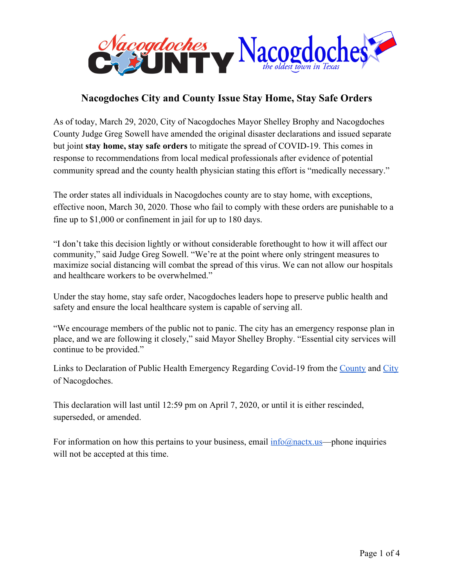

## **Nacogdoches City and County Issue Stay Home, Stay Safe Orders**

As of today, March 29, 2020, City of Nacogdoches Mayor Shelley Brophy and Nacogdoches County Judge Greg Sowell have amended the original disaster declarations and issued separate but joint **stay home, stay safe orders** to mitigate the spread of COVID-19. This comes in response to recommendations from local medical professionals after evidence of potential community spread and the county health physician stating this effort is "medically necessary."

The order states all individuals in Nacogdoches county are to stay home, with exceptions, effective noon, March 30, 2020. Those who fail to comply with these orders are punishable to a fine up to \$1,000 or confinement in jail for up to 180 days.

"I don't take this decision lightly or without considerable forethought to how it will affect our community," said Judge Greg Sowell. "We're at the point where only stringent measures to maximize social distancing will combat the spread of this virus. We can not allow our hospitals and healthcare workers to be overwhelmed."

Under the stay home, stay safe order, Nacogdoches leaders hope to preserve public health and safety and ensure the local healthcare system is capable of serving all.

"We encourage members of the public not to panic. The city has an emergency response plan in place, and we are following it closely," said Mayor Shelley Brophy. "Essential city services will continue to be provided."

Links to Declaration of Public Health Emergency Regarding Covid-19 from the [County](https://www.ci.nacogdoches.tx.us/DocumentCenter/View/4574/County-Amended-Disaster-Declaration-03292020) and [City](https://www.ci.nacogdoches.tx.us/DocumentCenter/View/4575/City-Amended-Disaster-Declaration-03292020) of Nacogdoches.

This declaration will last until 12:59 pm on April 7, 2020, or until it is either rescinded, superseded, or amended.

For information on how this pertains to your business, email [info@nactx.us](mailto:info@nactx.us)—phone inquiries will not be accepted at this time.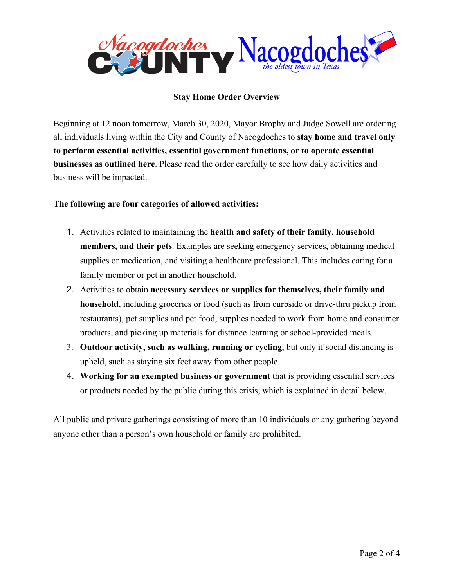

## **Stay Home Order Overview**

Beginning at 12 noon tomorrow, March 30, 2020, Mayor Brophy and Judge Sowell are ordering all individuals living within the City and County of Nacogdoches to **stay home and travel only to perform essential activities, essential government functions, or to operate essential businesses as outlined here**. Please read the order carefully to see how daily activities and business will be impacted.

## **The following are four categories of allowed activities:**

- 1. Activities related to maintaining the **health and safety of their family, household members, and their pets**. Examples are seeking emergency services, obtaining medical supplies or medication, and visiting a healthcare professional. This includes caring for a family member or pet in another household.
- 2. Activities to obtain **necessary services or supplies for themselves, their family and household**, including groceries or food (such as from curbside or drive-thru pickup from restaurants), pet supplies and pet food, supplies needed to work from home and consumer products, and picking up materials for distance learning or school-provided meals.
- 3. **Outdoor activity, such as walking, running or cycling**, but only if social distancing is upheld, such as staying six feet away from other people.
- 4. **Working for an exempted business or government** that is providing essential services or products needed by the public during this crisis, which is explained in detail below.

All public and private gatherings consisting of more than 10 individuals or any gathering beyond anyone other than a person's own household or family are prohibited.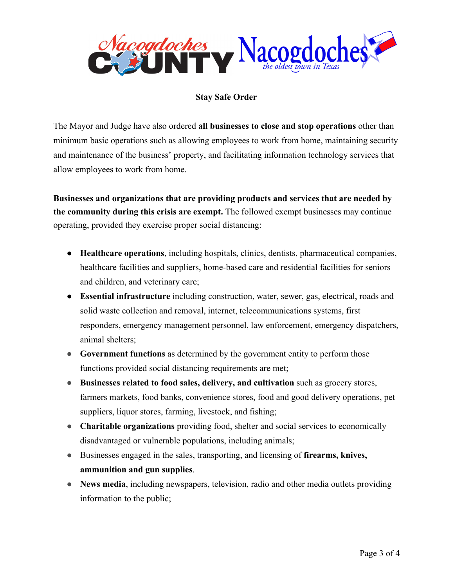

## **Stay Safe Order**

The Mayor and Judge have also ordered **all businesses to close and stop operations** other than minimum basic operations such as allowing employees to work from home, maintaining security and maintenance of the business' property, and facilitating information technology services that allow employees to work from home.

**Businesses and organizations that are providing products and services that are needed by the community during this crisis are exempt.** The followed exempt businesses may continue operating, provided they exercise proper social distancing:

- **Healthcare operations**, including hospitals, clinics, dentists, pharmaceutical companies, healthcare facilities and suppliers, home-based care and residential facilities for seniors and children, and veterinary care;
- **Essential infrastructure** including construction, water, sewer, gas, electrical, roads and solid waste collection and removal, internet, telecommunications systems, first responders, emergency management personnel, law enforcement, emergency dispatchers, animal shelters;
- **Government functions** as determined by the government entity to perform those functions provided social distancing requirements are met;
- **● Businesses related to food sales, delivery, and cultivation** such as grocery stores, farmers markets, food banks, convenience stores, food and good delivery operations, pet suppliers, liquor stores, farming, livestock, and fishing;
- **Charitable organizations** providing food, shelter and social services to economically disadvantaged or vulnerable populations, including animals;
- Businesses engaged in the sales, transporting, and licensing of **firearms, knives, ammunition and gun supplies**.
- **News media**, including newspapers, television, radio and other media outlets providing information to the public;